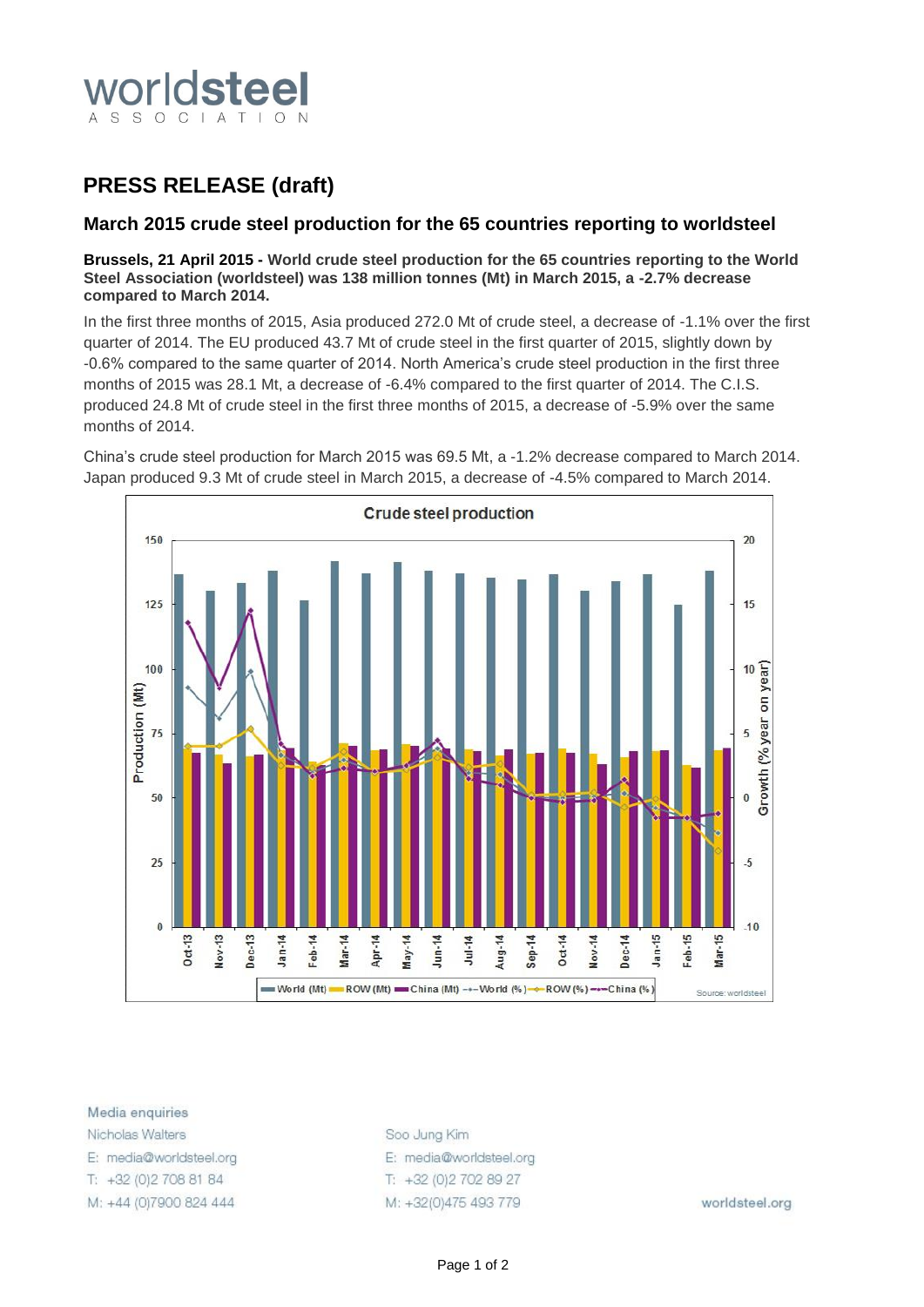

# **PRESS RELEASE (draft)**

# **March 2015 crude steel production for the 65 countries reporting to worldsteel**

## **Brussels, 21 April 2015 - World crude steel production for the 65 countries reporting to the World Steel Association (worldsteel) was 138 million tonnes (Mt) in March 2015, a -2.7% decrease compared to March 2014.**

In the first three months of 2015, Asia produced 272.0 Mt of crude steel, a decrease of -1.1% over the first quarter of 2014. The EU produced 43.7 Mt of crude steel in the first quarter of 2015, slightly down by -0.6% compared to the same quarter of 2014. North America's crude steel production in the first three months of 2015 was 28.1 Mt, a decrease of -6.4% compared to the first quarter of 2014. The C.I.S. produced 24.8 Mt of crude steel in the first three months of 2015, a decrease of -5.9% over the same months of 2014.

China's crude steel production for March 2015 was 69.5 Mt, a -1.2% decrease compared to March 2014. Japan produced 9.3 Mt of crude steel in March 2015, a decrease of -4.5% compared to March 2014.



Media enquiries Nicholas Walters

E: media@worldsteel.org

T: +32 (0) 2 708 81 84

M: +44 (0)7900 824 444

Soo Jung Kim E: media@worldsteel.org T: +32 (0) 2 70 2 89 27 M: +32(0)475 493 779

worldsteel.org